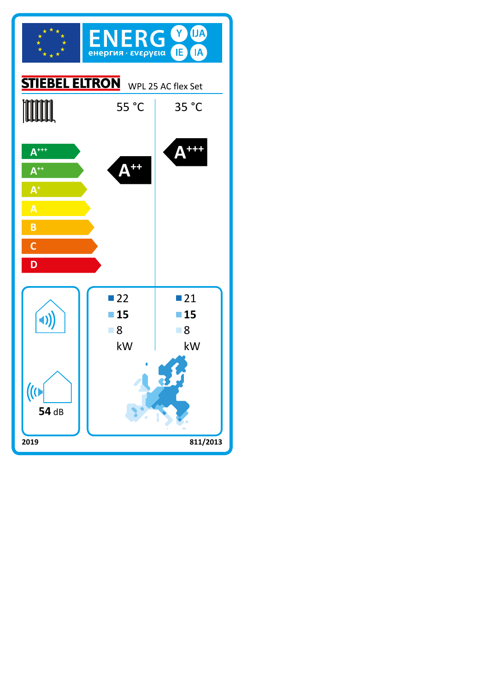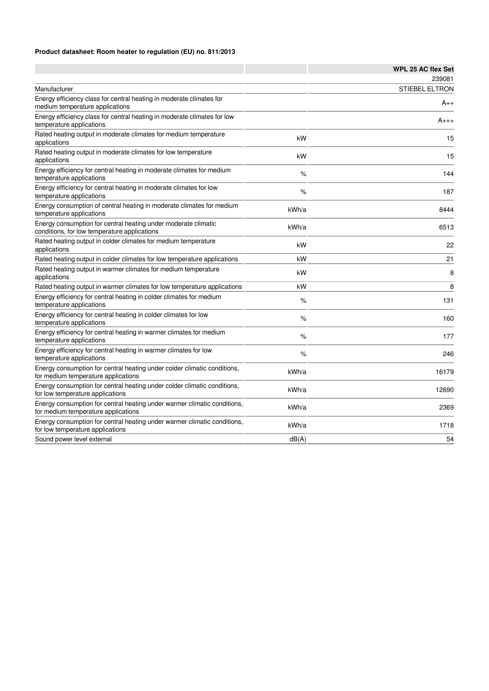## **Product datasheet: Room heater to regulation (EU) no. 811/2013**

|                                                                                                                 |       | <b>WPL 25 AC flex Set</b> |
|-----------------------------------------------------------------------------------------------------------------|-------|---------------------------|
|                                                                                                                 |       | 239081                    |
| Manufacturer                                                                                                    |       | <b>STIEBEL ELTRON</b>     |
| Energy efficiency class for central heating in moderate climates for<br>medium temperature applications         |       | $A_{++}$                  |
| Energy efficiency class for central heating in moderate climates for low<br>temperature applications            |       | $A_{+++}$                 |
| Rated heating output in moderate climates for medium temperature<br>applications                                | kW    | 15                        |
| Rated heating output in moderate climates for low temperature<br>applications                                   | kW    | 15                        |
| Energy efficiency for central heating in moderate climates for medium<br>temperature applications               | %     | 144                       |
| Energy efficiency for central heating in moderate climates for low<br>temperature applications                  | %     | 187                       |
| Energy consumption of central heating in moderate climates for medium<br>temperature applications               | kWh/a | 8444                      |
| Energy consumption for central heating under moderate climatic<br>conditions, for low temperature applications  | kWh/a | 6513                      |
| Rated heating output in colder climates for medium temperature<br>applications                                  | kW    | 22                        |
| Rated heating output in colder climates for low temperature applications                                        | kW    | 21                        |
| Rated heating output in warmer climates for medium temperature<br>applications                                  | kW    | 8                         |
| Rated heating output in warmer climates for low temperature applications                                        | kW    | 8                         |
| Energy efficiency for central heating in colder climates for medium<br>temperature applications                 | %     | 131                       |
| Energy efficiency for central heating in colder climates for low<br>temperature applications                    | $\%$  | 160                       |
| Energy efficiency for central heating in warmer climates for medium<br>temperature applications                 | %     | 177                       |
| Energy efficiency for central heating in warmer climates for low<br>temperature applications                    | %     | 246                       |
| Energy consumption for central heating under colder climatic conditions,<br>for medium temperature applications | kWh/a | 16179                     |
| Energy consumption for central heating under colder climatic conditions,<br>for low temperature applications    | kWh/a | 12690                     |
| Energy consumption for central heating under warmer climatic conditions,<br>for medium temperature applications | kWh/a | 2369                      |
| Energy consumption for central heating under warmer climatic conditions,<br>for low temperature applications    | kWh/a | 1718                      |
| Sound power level external                                                                                      | dB(A) | 54                        |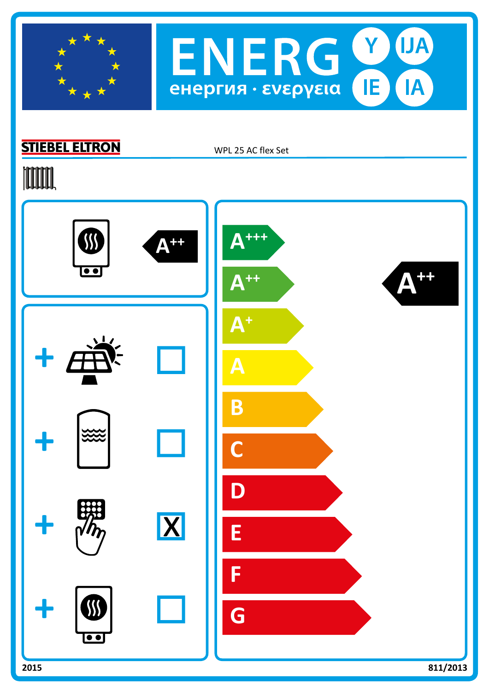



## **STIEBEL ELTRON**

WPL 25 AC flex Set

## **TOOTAL**

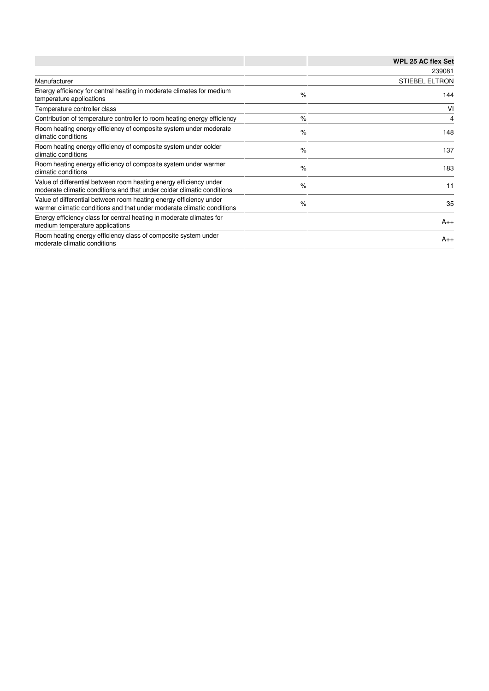|                                                                                                                                              |      | WPL 25 AC flex Set    |
|----------------------------------------------------------------------------------------------------------------------------------------------|------|-----------------------|
|                                                                                                                                              |      | 239081                |
| Manufacturer                                                                                                                                 |      | <b>STIEBEL ELTRON</b> |
| Energy efficiency for central heating in moderate climates for medium<br>temperature applications                                            | $\%$ | 144                   |
| Temperature controller class                                                                                                                 |      | VI                    |
| Contribution of temperature controller to room heating energy efficiency                                                                     | $\%$ | 4                     |
| Room heating energy efficiency of composite system under moderate<br>climatic conditions                                                     | $\%$ | 148                   |
| Room heating energy efficiency of composite system under colder<br>climatic conditions                                                       | $\%$ | 137                   |
| Room heating energy efficiency of composite system under warmer<br>climatic conditions                                                       | $\%$ | 183                   |
| Value of differential between room heating energy efficiency under<br>moderate climatic conditions and that under colder climatic conditions | $\%$ | 11                    |
| Value of differential between room heating energy efficiency under<br>warmer climatic conditions and that under moderate climatic conditions | $\%$ | 35                    |
| Energy efficiency class for central heating in moderate climates for<br>medium temperature applications                                      |      | $A_{++}$              |
| Room heating energy efficiency class of composite system under<br>moderate climatic conditions                                               |      | $A_{++}$              |